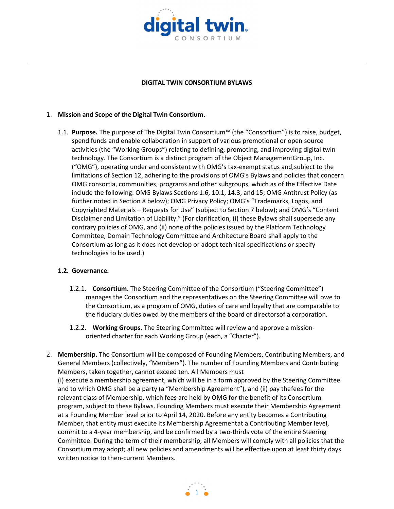

#### DIGITAL TWIN CONSORTIUM BYLAWS

#### 1. Mission and Scope of the Digital Twin Consortium.

1.1. Purpose. The purpose of The Digital Twin Consortium™ (the "Consortium") is to raise, budget, spend funds and enable collaboration in support of various promotional or open source activities (the "Working Groups") relating to defining, promoting, and improving digital twin technology. The Consortium is a distinct program of the Object Management Group, Inc. ("OMG"), operating under and consistent with OMG's tax-exempt status and, subject to the limitations of Section 12, adhering to the provisions of OMG's Bylaws and policies that concern OMG consortia, communities, programs and other subgroups, which as of the Effective Date include the following: OMG Bylaws Sections 1.6, 10.1, 14.3, and 15; OMG Antitrust Policy (as further noted in Section 8 below); OMG Privacy Policy; OMG's "Trademarks, Logos, and Copyrighted Materials – Requests for Use" (subject to Section 7 below); and OMG's "Content Disclaimer and Limitation of Liability." (For clarification, (i) these Bylaws shall supersede any contrary policies of OMG, and (ii) none of the policies issued by the Platform Technology Committee, Domain Technology Committee and Architecture Board shall apply to the Consortium as long as it does not develop or adopt technical specifications or specify technologies to be used.)

#### 1.2. Governance.

- 1.2.1. **Consortium.** The Steering Committee of the Consortium ("Steering Committee") manages the Consortium and the representatives on the Steering Committee will owe to the Consortium, as a program of OMG, duties of care and loyalty that are comparable to the fiduciary duties owed by the members of the board of directorsof a corporation.
- 1.2.2. Working Groups. The Steering Committee will review and approve a missionoriented charter for each Working Group (each, a "Charter").
- 2. Membership. The Consortium will be composed of Founding Members, Contributing Members, and General Members (collectively, "Members"). The number of Founding Members and Contributing Members, taken together, cannot exceed ten. All Members must (i) execute a membership agreement, which will be in a form approved by the Steering Committee and to which OMG shall be a party (a "Membership Agreement"), and (ii) pay thefees for the relevant class of Membership, which fees are held by OMG for the benefit of its Consortium program, subject to these Bylaws. Founding Members must execute their Membership Agreement at a Founding Member level prior to April 14, 2020. Before any entity becomes a Contributing Member, that entity must execute its Membership Agreementat a Contributing Member level, commit to a 4-year membership, and be confirmed by a two-thirds vote of the entire Steering Committee. During the term of their membership, all Members will comply with all policies that the Consortium may adopt; all new policies and amendments will be effective upon at least thirty days written notice to then-current Members.

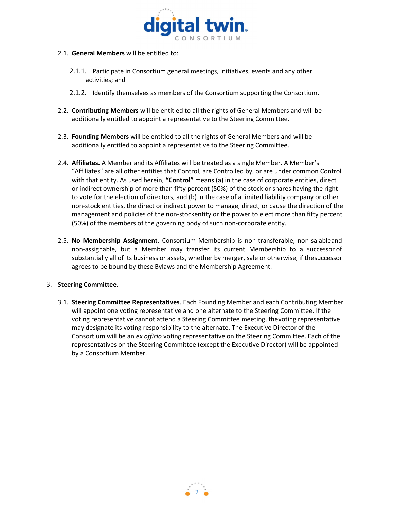

- 2.1. General Members will be entitled to:
	- 2.1.1. Participate in Consortium general meetings, initiatives, events and any other activities; and
	- 2.1.2. Identify themselves as members of the Consortium supporting the Consortium.
- 2.2. Contributing Members will be entitled to all the rights of General Members and will be additionally entitled to appoint a representative to the Steering Committee.
- 2.3. Founding Members will be entitled to all the rights of General Members and will be additionally entitled to appoint a representative to the Steering Committee.
- 2.4. Affiliates. A Member and its Affiliates will be treated as a single Member. A Member's "Affiliates" are all other entities that Control, are Controlled by, or are under common Control with that entity. As used herein, "Control" means (a) in the case of corporate entities, direct or indirect ownership of more than fifty percent (50%) of the stock or shares having the right to vote for the election of directors, and (b) in the case of a limited liability company or other non-stock entities, the direct or indirect power to manage, direct, or cause the direction of the management and policies of the non-stockentity or the power to elect more than fifty percent (50%) of the members of the governing body of such non-corporate entity.
- 2.5. No Membership Assignment. Consortium Membership is non-transferable, non-salable and non-assignable, but a Member may transfer its current Membership to a successor of substantially all of its business or assets, whether by merger, sale or otherwise, if the successor agrees to be bound by these Bylaws and the Membership Agreement.

## 3. Steering Committee.

3.1. Steering Committee Representatives. Each Founding Member and each Contributing Member will appoint one voting representative and one alternate to the Steering Committee. If the voting representative cannot attend a Steering Committee meeting, the voting representative may designate its voting responsibility to the alternate. The Executive Director of the Consortium will be an ex officio voting representative on the Steering Committee. Each of the representatives on the Steering Committee (except the Executive Director) will be appointed by a Consortium Member.

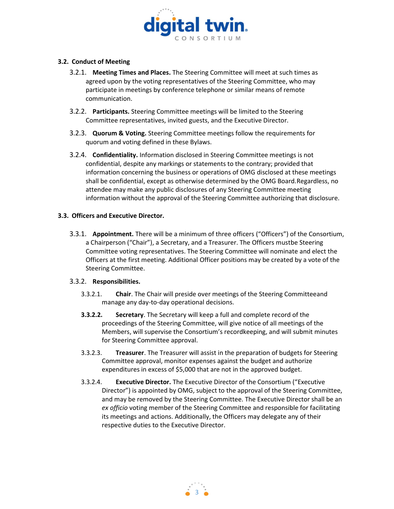

## 3.2. Conduct of Meeting

- 3.2.1. Meeting Times and Places. The Steering Committee will meet at such times as agreed upon by the voting representatives of the Steering Committee, who may participate in meetings by conference telephone or similar means of remote communication.
- 3.2.2. Participants. Steering Committee meetings will be limited to the Steering Committee representatives, invited guests, and the Executive Director.
- 3.2.3. Quorum & Voting. Steering Committee meetings follow the requirements for quorum and voting defined in these Bylaws.
- 3.2.4. Confidentiality. Information disclosed in Steering Committee meetings is not confidential, despite any markings or statements to the contrary; provided that information concerning the business or operations of OMG disclosed at these meetings shall be confidential, except as otherwise determined by the OMG Board. Regardless, no attendee may make any public disclosures of any Steering Committee meeting information without the approval of the Steering Committee authorizing that disclosure.

# 3.3. Officers and Executive Director.

3.3.1. Appointment. There will be a minimum of three officers ("Officers") of the Consortium, a Chairperson ("Chair"), a Secretary, and a Treasurer. The Officers mustbe Steering Committee voting representatives. The Steering Committee will nominate and elect the Officers at the first meeting. Additional Officer positions may be created by a vote of the Steering Committee.

## 3.3.2. Responsibilities.

- 3.3.2.1. Chair. The Chair will preside over meetings of the Steering Committee and manage any day-to-day operational decisions.
- **3.3.2.2.** Secretary. The Secretary will keep a full and complete record of the proceedings of the Steering Committee, will give notice of all meetings of the Members, will supervise the Consortium's recordkeeping, and will submit minutes for Steering Committee approval.
- 3.3.2.3. Treasurer. The Treasurer will assist in the preparation of budgets for Steering Committee approval, monitor expenses against the budget and authorize expenditures in excess of \$5,000 that are not in the approved budget.
- 3.3.2.4. Executive Director. The Executive Director of the Consortium ("Executive Director") is appointed by OMG, subject to the approval of the Steering Committee, and may be removed by the Steering Committee. The Executive Director shall be an ex officio voting member of the Steering Committee and responsible for facilitating its meetings and actions. Additionally, the Officers may delegate any of their respective duties to the Executive Director.

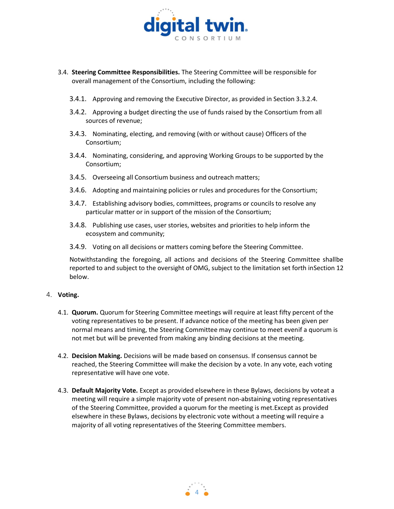

- 3.4. Steering Committee Responsibilities. The Steering Committee will be responsible for overall management of the Consortium, including the following:
	- 3.4.1. Approving and removing the Executive Director, as provided in Section 3.3.2.4.
	- 3.4.2. Approving a budget directing the use of funds raised by the Consortium from all sources of revenue;
	- 3.4.3. Nominating, electing, and removing (with or without cause) Officers of the Consortium;
	- 3.4.4. Nominating, considering, and approving Working Groups to be supported by the Consortium;
	- 3.4.5. Overseeing all Consortium business and outreach matters;
	- 3.4.6. Adopting and maintaining policies or rules and procedures for the Consortium;
	- 3.4.7. Establishing advisory bodies, committees, programs or councils to resolve any particular matter or in support of the mission of the Consortium;
	- 3.4.8. Publishing use cases, user stories, websites and priorities to help inform the ecosystem and community;
	- 3.4.9. Voting on all decisions or matters coming before the Steering Committee.

Notwithstanding the foregoing, all actions and decisions of the Steering Committee shallbe reported to and subject to the oversight of OMG, subject to the limitation set forth in Section 12 below.

#### 4. Voting.

- 4.1. Quorum. Quorum for Steering Committee meetings will require at least fifty percent of the voting representatives to be present. If advance notice of the meeting has been given per normal means and timing, the Steering Committee may continue to meet evenif a quorum is not met but will be prevented from making any binding decisions at the meeting.
- 4.2. Decision Making. Decisions will be made based on consensus. If consensus cannot be reached, the Steering Committee will make the decision by a vote. In any vote, each voting representative will have one vote.
- 4.3. Default Majority Vote. Except as provided elsewhere in these Bylaws, decisions by voteat a meeting will require a simple majority vote of present non-abstaining voting representatives of the Steering Committee, provided a quorum for the meeting is met. Except as provided elsewhere in these Bylaws, decisions by electronic vote without a meeting will require a majority of all voting representatives of the Steering Committee members.

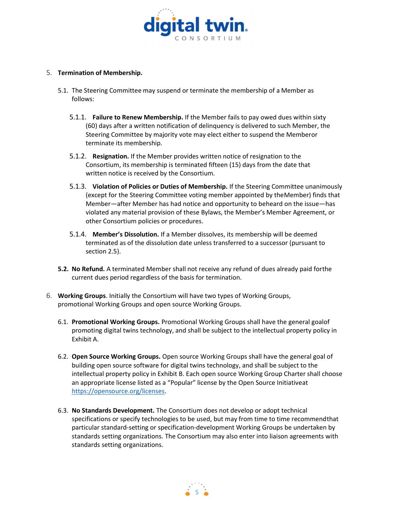

## 5. Termination of Membership.

- 5.1. The Steering Committee may suspend or terminate the membership of a Member as follows:
	- 5.1.1. Failure to Renew Membership. If the Member fails to pay owed dues within sixty (60) days after a written notification of delinquency is delivered to such Member, the Steering Committee by majority vote may elect either to suspend the Memberor terminate its membership.
	- 5.1.2. Resignation. If the Member provides written notice of resignation to the Consortium, its membership is terminated fifteen (15) days from the date that written notice is received by the Consortium.
	- 5.1.3. Violation of Policies or Duties of Membership. If the Steering Committee unanimously (except for the Steering Committee voting member appointed by the Member) finds that Member—after Member has had notice and opportunity to beheard on the issue—has violated any material provision of these Bylaws, the Member's Member Agreement, or other Consortium policies or procedures.
	- 5.1.4. Member's Dissolution. If a Member dissolves, its membership will be deemed terminated as of the dissolution date unless transferred to a successor (pursuant to section 2.5).
- 5.2. No Refund. A terminated Member shall not receive any refund of dues already paid forthe current dues period regardless of the basis for termination.
- 6. Working Groups. Initially the Consortium will have two types of Working Groups, promotional Working Groups and open source Working Groups.
	- 6.1. Promotional Working Groups. Promotional Working Groups shall have the general goal of promoting digital twins technology, and shall be subject to the intellectual property policy in Exhibit A.
	- 6.2. Open Source Working Groups. Open source Working Groups shall have the general goal of building open source software for digital twins technology, and shall be subject to the intellectual property policy in Exhibit B. Each open source Working Group Charter shall choose an appropriate license listed as a "Popular" license by the Open Source Initiative at https://opensource.org/licenses.
	- 6.3. No Standards Development. The Consortium does not develop or adopt technical specifications or specify technologies to be used, but may from time to time recommend that particular standard-setting or specification-development Working Groups be undertaken by standards setting organizations. The Consortium may also enter into liaison agreements with standards setting organizations.

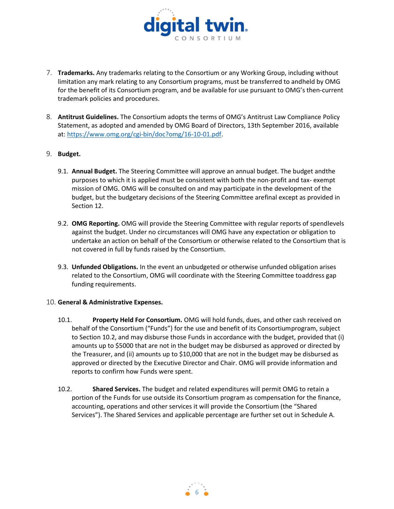

- 7. Trademarks. Any trademarks relating to the Consortium or any Working Group, including without limitation any mark relating to any Consortium programs, must be transferred to andheld by OMG for the benefit of its Consortium program, and be available for use pursuant to OMG's then-current trademark policies and procedures.
- 8. Antitrust Guidelines. The Consortium adopts the terms of OMG's Antitrust Law Compliance Policy Statement, as adopted and amended by OMG Board of Directors, 13th September 2016, available at: https://www.omg.org/cgi-bin/doc?omg/16-10-01.pdf.

## 9. Budget.

- 9.1. Annual Budget. The Steering Committee will approve an annual budget. The budget and the purposes to which it is applied must be consistent with both the non-profit and tax- exempt mission of OMG. OMG will be consulted on and may participate in the development of the budget, but the budgetary decisions of the Steering Committee are final except as provided in Section 12.
- 9.2. OMG Reporting. OMG will provide the Steering Committee with regular reports of spendlevels against the budget. Under no circumstances will OMG have any expectation or obligation to undertake an action on behalf of the Consortium or otherwise related to the Consortium that is not covered in full by funds raised by the Consortium.
- 9.3. Unfunded Obligations. In the event an unbudgeted or otherwise unfunded obligation arises related to the Consortium, OMG will coordinate with the Steering Committee toaddress gap funding requirements.

## 10. General & Administrative Expenses.

- 10.1. Property Held For Consortium. OMG will hold funds, dues, and other cash received on behalf of the Consortium ("Funds") for the use and benefit of its Consortium program, subject to Section 10.2, and may disburse those Funds in accordance with the budget, provided that (i) amounts up to \$5000 that are not in the budget may be disbursed as approved or directed by the Treasurer, and (ii) amounts up to \$10,000 that are not in the budget may be disbursed as approved or directed by the Executive Director and Chair. OMG will provide information and reports to confirm how Funds were spent.
- 10.2. Shared Services. The budget and related expenditures will permit OMG to retain a portion of the Funds for use outside its Consortium program as compensation for the finance, accounting, operations and other services it will provide the Consortium (the "Shared Services"). The Shared Services and applicable percentage are further set out in Schedule A.

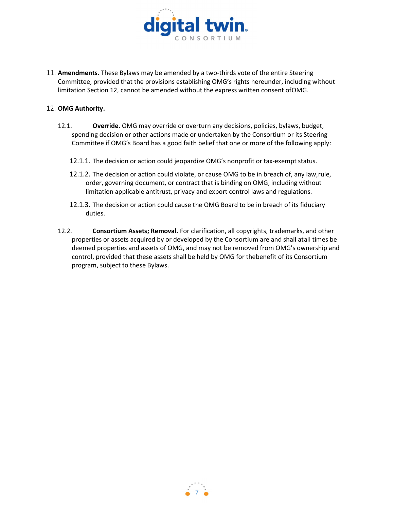

11. **Amendments.** These Bylaws may be amended by a two-thirds vote of the entire Steering Committee, provided that the provisions establishing OMG's rights hereunder, including without limitation Section 12, cannot be amended without the express written consent of OMG.

#### 12. OMG Authority.

- 12.1. Override. OMG may override or overturn any decisions, policies, bylaws, budget, spending decision or other actions made or undertaken by the Consortium or its Steering Committee if OMG's Board has a good faith belief that one or more of the following apply:
	- 12.1.1. The decision or action could jeopardize OMG's nonprofit or tax-exempt status.
	- 12.1.2. The decision or action could violate, or cause OMG to be in breach of, any law, rule, order, governing document, or contract that is binding on OMG, including without limitation applicable antitrust, privacy and export control laws and regulations.
	- 12.1.3. The decision or action could cause the OMG Board to be in breach of its fiduciary duties.
- 12.2. **Consortium Assets; Removal.** For clarification, all copyrights, trademarks, and other properties or assets acquired by or developed by the Consortium are and shall at all times be deemed properties and assets of OMG, and may not be removed from OMG's ownership and control, provided that these assets shall be held by OMG for the benefit of its Consortium program, subject to these Bylaws.

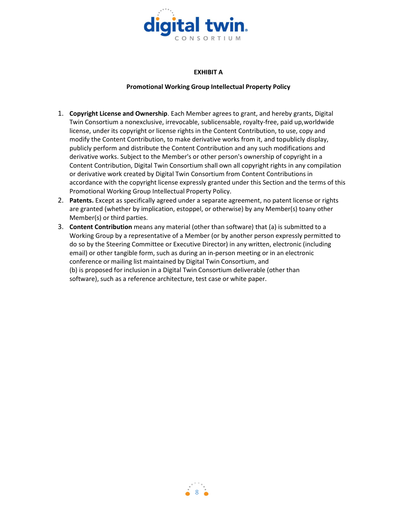

## EXHIBIT A

# Promotional Working Group Intellectual Property Policy

- 1. Copyright License and Ownership. Each Member agrees to grant, and hereby grants, Digital Twin Consortium a nonexclusive, irrevocable, sublicensable, royalty-free, paid up, worldwide license, under its copyright or license rights in the Content Contribution, to use, copy and modify the Content Contribution, to make derivative works from it, and to publicly display, publicly perform and distribute the Content Contribution and any such modifications and derivative works. Subject to the Member's or other person's ownership of copyright in a Content Contribution, Digital Twin Consortium shall own all copyright rights in any compilation or derivative work created by Digital Twin Consortium from Content Contributions in accordance with the copyright license expressly granted under this Section and the terms of this Promotional Working Group Intellectual Property Policy.
- 2. Patents. Except as specifically agreed under a separate agreement, no patent license or rights are granted (whether by implication, estoppel, or otherwise) by any Member(s) to any other Member(s) or third parties.
- 3. Content Contribution means any material (other than software) that (a) is submitted to a Working Group by a representative of a Member (or by another person expressly permitted to do so by the Steering Committee or Executive Director) in any written, electronic (including email) or other tangible form, such as during an in-person meeting or in an electronic conference or mailing list maintained by Digital Twin Consortium, and (b) is proposed for inclusion in a Digital Twin Consortium deliverable (other than software), such as a reference architecture, test case or white paper.

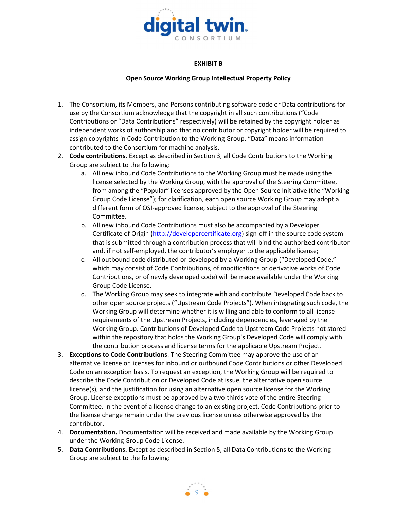

## EXHIBIT B

#### Open Source Working Group Intellectual Property Policy

- 1. The Consortium, its Members, and Persons contributing software code or Data contributions for use by the Consortium acknowledge that the copyright in all such contributions ("Code Contributions or "Data Contributions" respectively) will be retained by the copyright holder as independent works of authorship and that no contributor or copyright holder will be required to assign copyrights in Code Contribution to the Working Group. "Data" means information contributed to the Consortium for machine analysis.
- 2. Code contributions. Except as described in Section 3, all Code Contributions to the Working Group are subject to the following:
	- a. All new inbound Code Contributions to the Working Group must be made using the license selected by the Working Group, with the approval of the Steering Committee, from among the "Popular" licenses approved by the Open Source Initiative (the "Working Group Code License"); for clarification, each open source Working Group may adopt a different form of OSI-approved license, subject to the approval of the Steering Committee.
	- b. All new inbound Code Contributions must also be accompanied by a Developer Certificate of Origin (http://developercertificate.org) sign-off in the source code system that is submitted through a contribution process that will bind the authorized contributor and, if not self-employed, the contributor's employer to the applicable license;
	- c. All outbound code distributed or developed by a Working Group ("Developed Code," which may consist of Code Contributions, of modifications or derivative works of Code Contributions, or of newly developed code) will be made available under the Working Group Code License.
	- d. The Working Group may seek to integrate with and contribute Developed Code back to other open source projects ("Upstream Code Projects"). When integrating such code, the Working Group will determine whether it is willing and able to conform to all license requirements of the Upstream Projects, including dependencies, leveraged by the Working Group. Contributions of Developed Code to Upstream Code Projects not stored within the repository that holds the Working Group's Developed Code will comply with the contribution process and license terms for the applicable Upstream Project.
- 3. Exceptions to Code Contributions. The Steering Committee may approve the use of an alternative license or licenses for inbound or outbound Code Contributions or other Developed Code on an exception basis. To request an exception, the Working Group will be required to describe the Code Contribution or Developed Code at issue, the alternative open source license(s), and the justification for using an alternative open source license for the Working Group. License exceptions must be approved by a two-thirds vote of the entire Steering Committee. In the event of a license change to an existing project, Code Contributions prior to the license change remain under the previous license unless otherwise approved by the contributor.
- 4. Documentation. Documentation will be received and made available by the Working Group under the Working Group Code License.
- 5. Data Contributions. Except as described in Section 5, all Data Contributions to the Working Group are subject to the following:

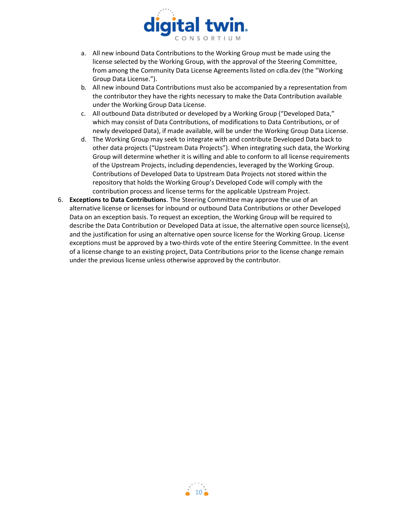

- a. All new inbound Data Contributions to the Working Group must be made using the license selected by the Working Group, with the approval of the Steering Committee, from among the Community Data License Agreements listed on cdla.dev (the "Working Group Data License.").
- b. All new inbound Data Contributions must also be accompanied by a representation from the contributor they have the rights necessary to make the Data Contribution available under the Working Group Data License.
- c. All outbound Data distributed or developed by a Working Group ("Developed Data," which may consist of Data Contributions, of modifications to Data Contributions, or of newly developed Data), if made available, will be under the Working Group Data License.
- d. The Working Group may seek to integrate with and contribute Developed Data back to other data projects ("Upstream Data Projects"). When integrating such data, the Working Group will determine whether it is willing and able to conform to all license requirements of the Upstream Projects, including dependencies, leveraged by the Working Group. Contributions of Developed Data to Upstream Data Projects not stored within the repository that holds the Working Group's Developed Code will comply with the contribution process and license terms for the applicable Upstream Project.
- 6. Exceptions to Data Contributions. The Steering Committee may approve the use of an alternative license or licenses for inbound or outbound Data Contributions or other Developed Data on an exception basis. To request an exception, the Working Group will be required to describe the Data Contribution or Developed Data at issue, the alternative open source license(s), and the justification for using an alternative open source license for the Working Group. License exceptions must be approved by a two-thirds vote of the entire Steering Committee. In the event of a license change to an existing project, Data Contributions prior to the license change remain under the previous license unless otherwise approved by the contributor.